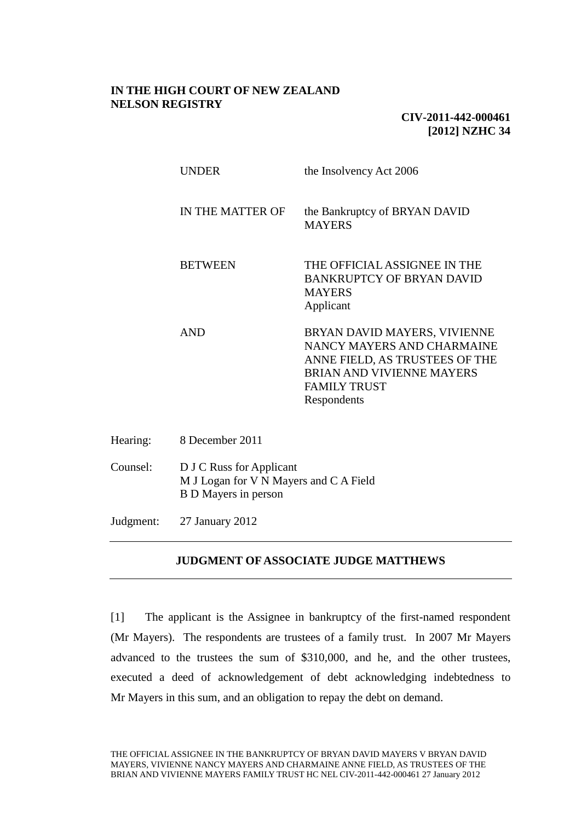# **IN THE HIGH COURT OF NEW ZEALAND NELSON REGISTRY**

# **CIV-2011-442-000461 [2012] NZHC 34**

| UNDER            | the Insolvency Act 2006                                                                                                                                         |
|------------------|-----------------------------------------------------------------------------------------------------------------------------------------------------------------|
| IN THE MATTER OF | the Bankruptcy of BRYAN DAVID<br><b>MAYERS</b>                                                                                                                  |
| <b>BETWEEN</b>   | THE OFFICIAL ASSIGNEE IN THE<br>BANKRUPTCY OF BRYAN DAVID<br><b>MAYERS</b><br>Applicant                                                                         |
| AND              | BRYAN DAVID MAYERS, VIVIENNE<br>NANCY MAYERS AND CHARMAINE<br>ANNE FIELD, AS TRUSTEES OF THE<br>BRIAN AND VIVIENNE MAYERS<br><b>FAMILY TRUST</b><br>Respondents |

- Hearing: 8 December 2011
- Counsel: D J C Russ for Applicant M J Logan for V N Mayers and C A Field B D Mayers in person

Judgment: 27 January 2012

# **JUDGMENT OF ASSOCIATE JUDGE MATTHEWS**

[1] The applicant is the Assignee in bankruptcy of the first-named respondent (Mr Mayers). The respondents are trustees of a family trust. In 2007 Mr Mayers advanced to the trustees the sum of \$310,000, and he, and the other trustees, executed a deed of acknowledgement of debt acknowledging indebtedness to Mr Mayers in this sum, and an obligation to repay the debt on demand.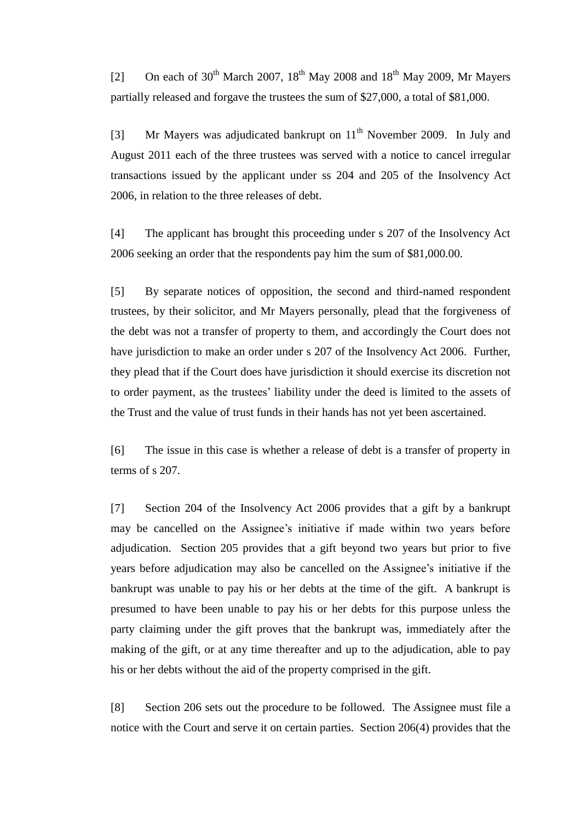[2] On each of  $30^{th}$  March 2007,  $18^{th}$  May 2008 and  $18^{th}$  May 2009, Mr Mayers partially released and forgave the trustees the sum of \$27,000, a total of \$81,000.

[3] Mr Mayers was adjudicated bankrupt on  $11<sup>th</sup>$  November 2009. In July and August 2011 each of the three trustees was served with a notice to cancel irregular transactions issued by the applicant under ss 204 and 205 of the Insolvency Act 2006, in relation to the three releases of debt.

[4] The applicant has brought this proceeding under s 207 of the Insolvency Act 2006 seeking an order that the respondents pay him the sum of \$81,000.00.

[5] By separate notices of opposition, the second and third-named respondent trustees, by their solicitor, and Mr Mayers personally, plead that the forgiveness of the debt was not a transfer of property to them, and accordingly the Court does not have jurisdiction to make an order under s 207 of the Insolvency Act 2006. Further, they plead that if the Court does have jurisdiction it should exercise its discretion not to order payment, as the trustees' liability under the deed is limited to the assets of the Trust and the value of trust funds in their hands has not yet been ascertained.

[6] The issue in this case is whether a release of debt is a transfer of property in terms of s 207.

[7] Section 204 of the Insolvency Act 2006 provides that a gift by a bankrupt may be cancelled on the Assignee's initiative if made within two years before adjudication. Section 205 provides that a gift beyond two years but prior to five years before adjudication may also be cancelled on the Assignee's initiative if the bankrupt was unable to pay his or her debts at the time of the gift. A bankrupt is presumed to have been unable to pay his or her debts for this purpose unless the party claiming under the gift proves that the bankrupt was, immediately after the making of the gift, or at any time thereafter and up to the adjudication, able to pay his or her debts without the aid of the property comprised in the gift.

[8] Section 206 sets out the procedure to be followed. The Assignee must file a notice with the Court and serve it on certain parties. Section 206(4) provides that the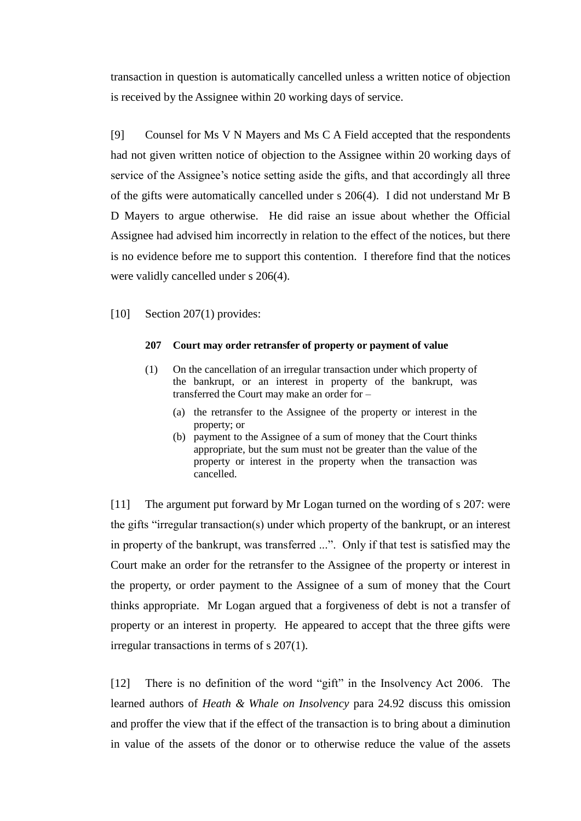transaction in question is automatically cancelled unless a written notice of objection is received by the Assignee within 20 working days of service.

[9] Counsel for Ms V N Mayers and Ms C A Field accepted that the respondents had not given written notice of objection to the Assignee within 20 working days of service of the Assignee's notice setting aside the gifts, and that accordingly all three of the gifts were automatically cancelled under s 206(4). I did not understand Mr B D Mayers to argue otherwise. He did raise an issue about whether the Official Assignee had advised him incorrectly in relation to the effect of the notices, but there is no evidence before me to support this contention. I therefore find that the notices were validly cancelled under s 206(4).

### [10] Section 207(1) provides:

#### **207 Court may order retransfer of property or payment of value**

- (1) On the cancellation of an irregular transaction under which property of the bankrupt, or an interest in property of the bankrupt, was transferred the Court may make an order for –
	- (a) the retransfer to the Assignee of the property or interest in the property; or
	- (b) payment to the Assignee of a sum of money that the Court thinks appropriate, but the sum must not be greater than the value of the property or interest in the property when the transaction was cancelled.

[11] The argument put forward by Mr Logan turned on the wording of s 207: were the gifts "irregular transaction(s) under which property of the bankrupt, or an interest in property of the bankrupt, was transferred ...". Only if that test is satisfied may the Court make an order for the retransfer to the Assignee of the property or interest in the property, or order payment to the Assignee of a sum of money that the Court thinks appropriate. Mr Logan argued that a forgiveness of debt is not a transfer of property or an interest in property. He appeared to accept that the three gifts were irregular transactions in terms of s 207(1).

[12] There is no definition of the word "gift" in the Insolvency Act 2006. The learned authors of *Heath & Whale on Insolvency* para 24.92 discuss this omission and proffer the view that if the effect of the transaction is to bring about a diminution in value of the assets of the donor or to otherwise reduce the value of the assets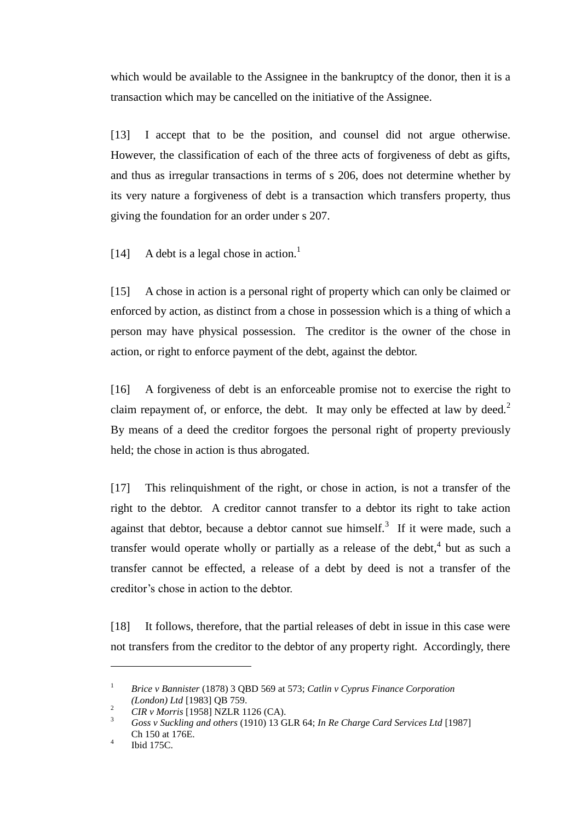which would be available to the Assignee in the bankruptcy of the donor, then it is a transaction which may be cancelled on the initiative of the Assignee.

[13] I accept that to be the position, and counsel did not argue otherwise. However, the classification of each of the three acts of forgiveness of debt as gifts, and thus as irregular transactions in terms of s 206, does not determine whether by its very nature a forgiveness of debt is a transaction which transfers property, thus giving the foundation for an order under s 207.

[14] A debt is a legal chose in action.<sup>1</sup>

[15] A chose in action is a personal right of property which can only be claimed or enforced by action, as distinct from a chose in possession which is a thing of which a person may have physical possession. The creditor is the owner of the chose in action, or right to enforce payment of the debt, against the debtor.

[16] A forgiveness of debt is an enforceable promise not to exercise the right to claim repayment of, or enforce, the debt. It may only be effected at law by deed.<sup>2</sup> By means of a deed the creditor forgoes the personal right of property previously held; the chose in action is thus abrogated.

[17] This relinquishment of the right, or chose in action, is not a transfer of the right to the debtor. A creditor cannot transfer to a debtor its right to take action against that debtor, because a debtor cannot sue himself.<sup>3</sup> If it were made, such a transfer would operate wholly or partially as a release of the debt,<sup>4</sup> but as such a transfer cannot be effected, a release of a debt by deed is not a transfer of the creditor's chose in action to the debtor.

[18] It follows, therefore, that the partial releases of debt in issue in this case were not transfers from the creditor to the debtor of any property right. Accordingly, there

 $\overline{a}$ 

<sup>1</sup> *Brice v Bannister* (1878) 3 QBD 569 at 573; *Catlin v Cyprus Finance Corporation (London) Ltd* [1983] QB 759.

<sup>&</sup>lt;sup>2</sup> *CIR v Morris* [1958] NZLR 1126 (CA).<br><sup>3</sup> Case v Suelding and others (1010) 12 C

<sup>3</sup> *Goss v Suckling and others* (1910) 13 GLR 64; *In Re Charge Card Services Ltd* [1987] Ch 150 at 176E.

<sup>4</sup> Ibid 175C.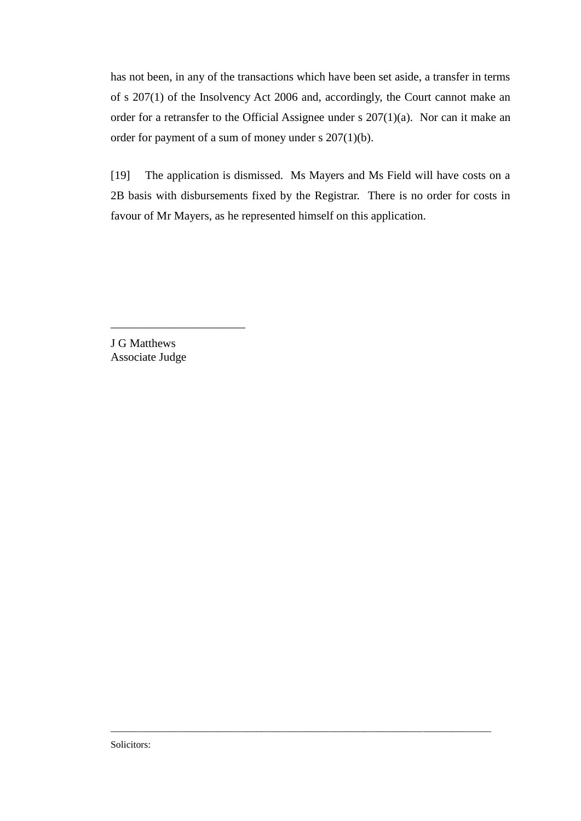has not been, in any of the transactions which have been set aside, a transfer in terms of s 207(1) of the Insolvency Act 2006 and, accordingly, the Court cannot make an order for a retransfer to the Official Assignee under s 207(1)(a). Nor can it make an order for payment of a sum of money under s 207(1)(b).

[19] The application is dismissed. Ms Mayers and Ms Field will have costs on a 2B basis with disbursements fixed by the Registrar. There is no order for costs in favour of Mr Mayers, as he represented himself on this application.

\_\_\_\_\_\_\_\_\_\_\_\_\_\_\_\_\_\_\_\_\_\_\_\_\_\_\_\_\_\_\_\_\_\_\_\_\_\_\_\_\_\_\_\_\_\_\_\_\_\_\_\_\_\_\_\_\_\_\_\_\_\_\_\_\_\_\_\_\_\_\_\_\_\_\_\_\_\_

J G Matthews Associate Judge

\_\_\_\_\_\_\_\_\_\_\_\_\_\_\_\_\_\_\_\_\_\_\_

Solicitors: